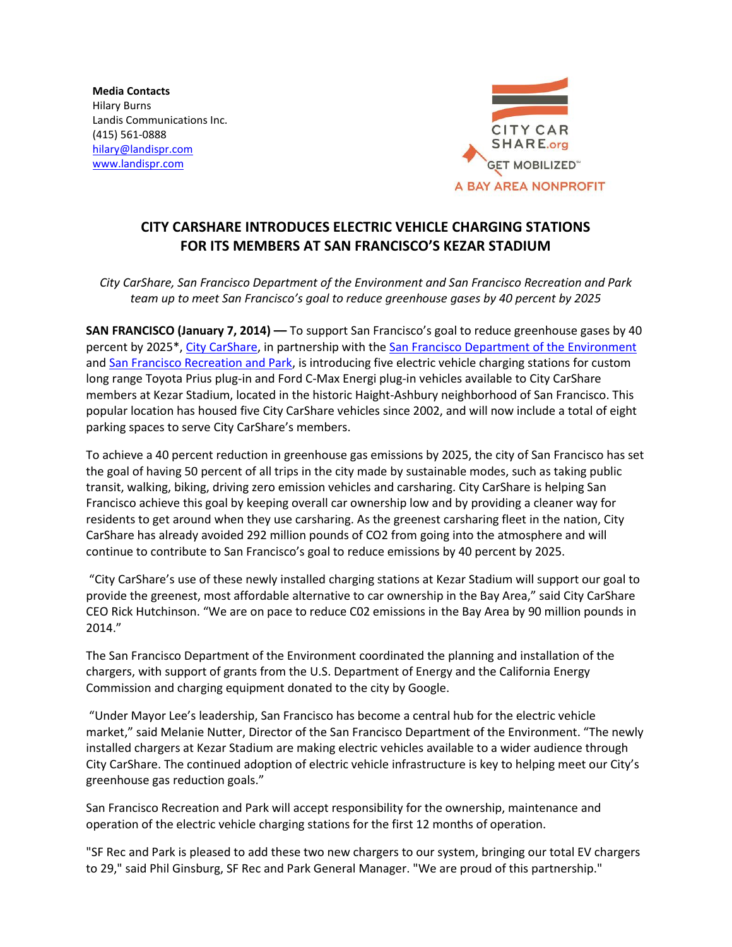**Media Contacts** Hilary Burns Landis Communications Inc. (415) 561-0888 [hilary@landispr.com](mailto:hilary@landispr.com) [www.landispr.com](http://www.landispr.com/)



# **CITY CARSHARE INTRODUCES ELECTRIC VEHICLE CHARGING STATIONS FOR ITS MEMBERS AT SAN FRANCISCO'S KEZAR STADIUM**

*City CarShare, San Francisco Department of the Environment and San Francisco Recreation and Park team up to meet San Francisco's goal to reduce greenhouse gases by 40 percent by 2025*

**SAN FRANCISCO (January 7, 2014) ––** To support San Francisco's goal to reduce greenhouse gases by 40 percent by 2025\*, [City CarShare,](https://www.citycarshare.org/) in partnership with th[e San Francisco Department of the Environment](http://www.sfenvironment.org/‎) and [San Francisco Recreation and Park,](http://sfrecpark.org/) is introducing five electric vehicle charging stations for custom long range Toyota Prius plug-in and Ford C-Max Energi plug-in vehicles available to City CarShare members at Kezar Stadium, located in the historic Haight-Ashbury neighborhood of San Francisco. This popular location has housed five City CarShare vehicles since 2002, and will now include a total of eight parking spaces to serve City CarShare's members.

To achieve a 40 percent reduction in greenhouse gas emissions by 2025, the city of San Francisco has set the goal of having 50 percent of all trips in the city made by sustainable modes, such as taking public transit, walking, biking, driving zero emission vehicles and carsharing. City CarShare is helping San Francisco achieve this goal by keeping overall car ownership low and by providing a cleaner way for residents to get around when they use carsharing. As the greenest carsharing fleet in the nation, City CarShare has already avoided 292 million pounds of CO2 from going into the atmosphere and will continue to contribute to San Francisco's goal to reduce emissions by 40 percent by 2025.

"City CarShare's use of these newly installed charging stations at Kezar Stadium will support our goal to provide the greenest, most affordable alternative to car ownership in the Bay Area," said City CarShare CEO Rick Hutchinson. "We are on pace to reduce C02 emissions in the Bay Area by 90 million pounds in 2014."

The San Francisco Department of the Environment coordinated the planning and installation of the chargers, with support of grants from the U.S. Department of Energy and the California Energy Commission and charging equipment donated to the city by Google.

"Under Mayor Lee's leadership, San Francisco has become a central hub for the electric vehicle market," said Melanie Nutter, Director of the San Francisco Department of the Environment. "The newly installed chargers at Kezar Stadium are making electric vehicles available to a wider audience through City CarShare. The continued adoption of electric vehicle infrastructure is key to helping meet our City's greenhouse gas reduction goals."

San Francisco Recreation and Park will accept responsibility for the ownership, maintenance and operation of the electric vehicle charging stations for the first 12 months of operation.

"SF Rec and Park is pleased to add these two new chargers to our system, bringing our total EV chargers to 29," said Phil Ginsburg, SF Rec and Park General Manager. "We are proud of this partnership."